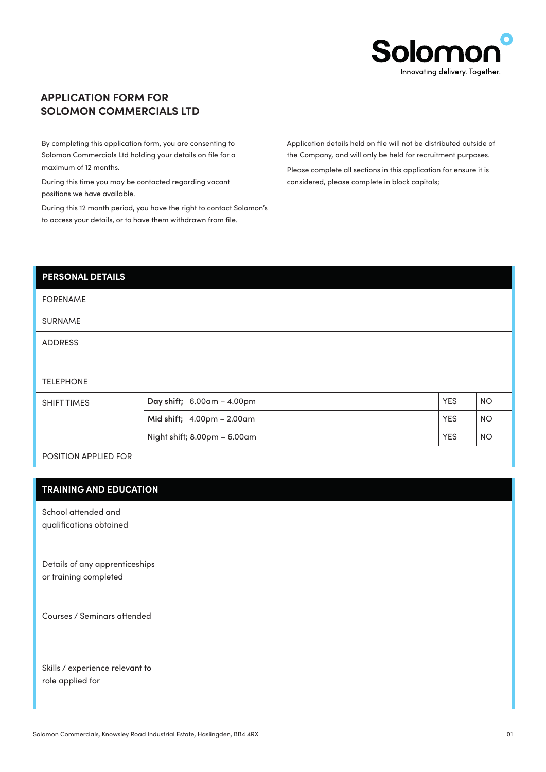

## **APPLICATION FORM FOR SOLOMON COMMERCIALS LTD**

By completing this application form, you are consenting to Solomon Commercials Ltd holding your details on file for a maximum of 12 months.

During this time you may be contacted regarding vacant positions we have available.

During this 12 month period, you have the right to contact Solomon's to access your details, or to have them withdrawn from file.

Application details held on file will not be distributed outside of the Company, and will only be held for recruitment purposes. Please complete all sections in this application for ensure it is considered, please complete in block capitals;

## **PERSONAL DETAILS**

| <b>FORENAME</b>      |                              |            |           |
|----------------------|------------------------------|------------|-----------|
| <b>SURNAME</b>       |                              |            |           |
| <b>ADDRESS</b>       |                              |            |           |
| <b>TELEPHONE</b>     |                              |            |           |
| <b>SHIFT TIMES</b>   | Day shift; 6.00am - 4.00pm   | <b>YES</b> | <b>NO</b> |
|                      | Mid shift; 4.00pm - 2.00am   | <b>YES</b> | <b>NO</b> |
|                      | Night shift; 8.00pm - 6.00am | <b>YES</b> | <b>NO</b> |
| POSITION APPLIED FOR |                              |            |           |

| <b>TRAINING AND EDUCATION</b>                           |  |
|---------------------------------------------------------|--|
| School attended and<br>qualifications obtained          |  |
| Details of any apprenticeships<br>or training completed |  |
| Courses / Seminars attended                             |  |
| Skills / experience relevant to<br>role applied for     |  |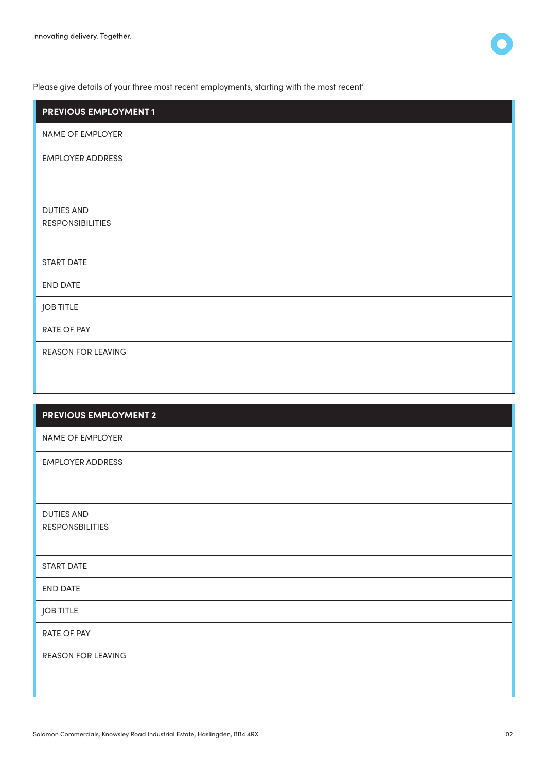

Please give details of your three most recent employments, starting with the most recent'

| <b>PREVIOUS EMPLOYMENT1</b>                  |  |
|----------------------------------------------|--|
| NAME OF EMPLOYER                             |  |
| <b>EMPLOYER ADDRESS</b>                      |  |
| <b>DUTIES AND</b><br><b>RESPONSIBILITIES</b> |  |
| START DATE                                   |  |
| END DATE                                     |  |
| <b>JOB TITLE</b>                             |  |
| RATE OF PAY                                  |  |
| <b>REASON FOR LEAVING</b>                    |  |

| <b>PREVIOUS EMPLOYMENT 2</b>                |  |
|---------------------------------------------|--|
| NAME OF EMPLOYER                            |  |
| <b>EMPLOYER ADDRESS</b>                     |  |
| <b>DUTIES AND</b><br><b>RESPONSBILITIES</b> |  |
| <b>START DATE</b>                           |  |
| END DATE                                    |  |
| <b>JOB TITLE</b>                            |  |
| RATE OF PAY                                 |  |
| <b>REASON FOR LEAVING</b>                   |  |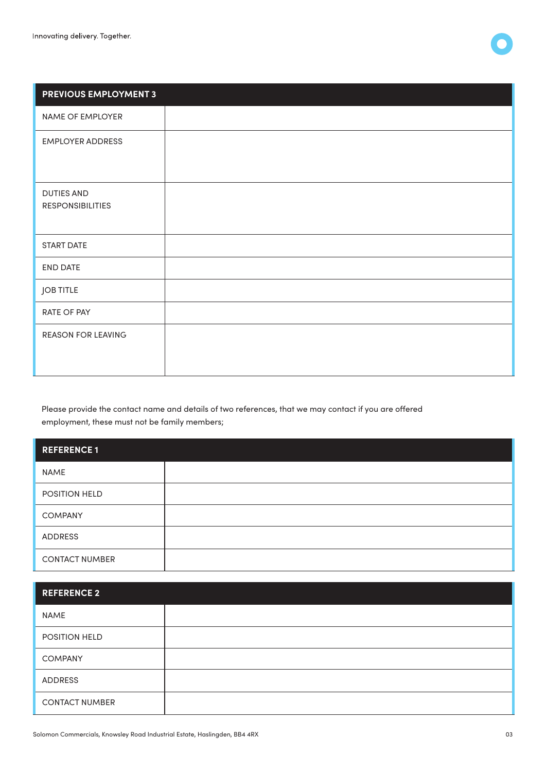

| <b>PREVIOUS EMPLOYMENT 3</b>                 |  |
|----------------------------------------------|--|
| NAME OF EMPLOYER                             |  |
| <b>EMPLOYER ADDRESS</b>                      |  |
| <b>DUTIES AND</b><br><b>RESPONSIBILITIES</b> |  |
| START DATE                                   |  |
| <b>END DATE</b>                              |  |
| <b>JOB TITLE</b>                             |  |
| RATE OF PAY                                  |  |
| <b>REASON FOR LEAVING</b>                    |  |

Please provide the contact name and details of two references, that we may contact if you are offered employment, these must not be family members;

| <b>REFERENCE1</b>     |  |
|-----------------------|--|
| NAME                  |  |
| POSITION HELD         |  |
| <b>COMPANY</b>        |  |
| ADDRESS               |  |
| <b>CONTACT NUMBER</b> |  |

| <b>REFERENCE 2</b>    |  |
|-----------------------|--|
| <b>NAME</b>           |  |
| POSITION HELD         |  |
| <b>COMPANY</b>        |  |
| ADDRESS               |  |
| <b>CONTACT NUMBER</b> |  |